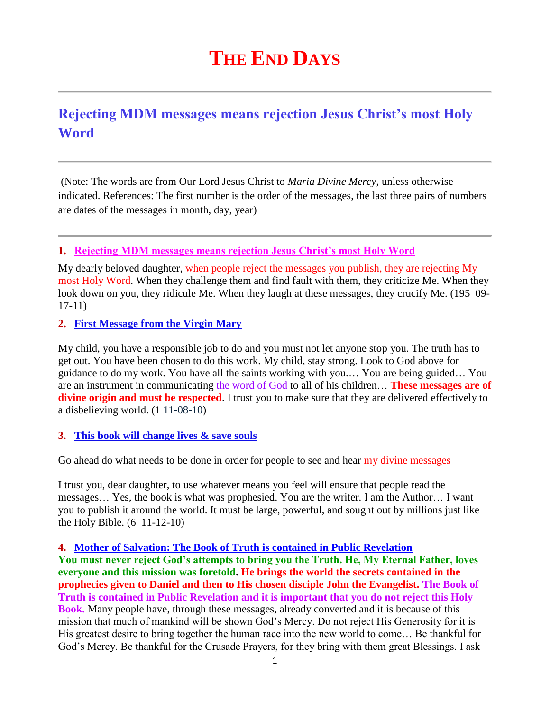# **THE END DAYS**

# **Rejecting MDM messages means rejection Jesus Christ's most Holy Word**

(Note: The words are from Our Lord Jesus Christ to *Maria Divine Mercy*, unless otherwise indicated. References: The first number is the order of the messages, the last three pairs of numbers are dates of the messages in month, day, year)

### **1. Rejecting MDM messages means rejection Jesus Christ's most Holy Word**

My dearly beloved daughter, when people reject the messages you publish, they are rejecting My most Holy Word. When they challenge them and find fault with them, they criticize Me. When they look down on you, they ridicule Me. When they laugh at these messages, they crucify Me. (195 09- 17-11)

**2. [First Message from the Virgin Mary](http://www.thewarningsecondcoming.com/first-message-from-the-virgin-mary/)**

My child, you have a responsible job to do and you must not let anyone stop you. The truth has to get out. You have been chosen to do this work. My child, stay strong. Look to God above for guidance to do my work. You have all the saints working with you.… You are being guided… You are an instrument in communicating the word of God to all of his children… **These messages are of divine origin and must be respected**. I trust you to make sure that they are delivered effectively to a disbelieving world. (1 11-08-10)

### **3. [This book will change lives & save souls](http://www.thewarningsecondcoming.com/this-book-will-change-lives-and-save-souls/)**

Go ahead do what needs to be done in order for people to see and hear my divine messages

I trust you, dear daughter, to use whatever means you feel will ensure that people read the messages… Yes, the book is what was prophesied. You are the writer. I am the Author… I want you to publish it around the world. It must be large, powerful, and sought out by millions just like the Holy Bible. (6 11-12-10)

## **4. [Mother of Salvation: The Book of Truth is contained in Public Revelation](http://www.thewarningsecondcoming.com/mother-of-salvation-the-book-of-truth-is-contained-in-public-revelation/)**

**You must never reject God's attempts to bring you the Truth. He, My Eternal Father, loves everyone and this mission was foretold. He brings the world the secrets contained in the prophecies given to Daniel and then to His chosen disciple John the Evangelist. The Book of Truth is contained in Public Revelation and it is important that you do not reject this Holy Book.** Many people have, through these messages, already converted and it is because of this mission that much of mankind will be shown God's Mercy. Do not reject His Generosity for it is His greatest desire to bring together the human race into the new world to come… Be thankful for God's Mercy. Be thankful for the Crusade Prayers, for they bring with them great Blessings. I ask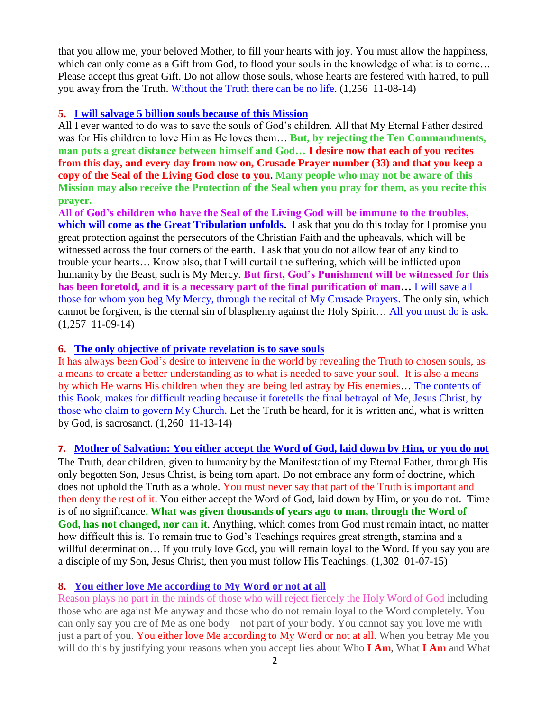that you allow me, your beloved Mother, to fill your hearts with joy. You must allow the happiness, which can only come as a Gift from God, to flood your souls in the knowledge of what is to come… Please accept this great Gift. Do not allow those souls, whose hearts are festered with hatred, to pull you away from the Truth. Without the Truth there can be no life. (1,256 11-08-14)

#### **5. [I will salvage 5 billion souls because of this Mission](http://www.thewarningsecondcoming.com/i-will-salvage-5-billion-souls-because-of-this-mission/)**

All I ever wanted to do was to save the souls of God's children. All that My Eternal Father desired was for His children to love Him as He loves them… **But, by rejecting the Ten Commandments, man puts a great distance between himself and God… I desire now that each of you recites from this day, and every day from now on, Crusade Prayer number (33) and that you keep a copy of the Seal of the Living God close to you. Many people who may not be aware of this Mission may also receive the Protection of the Seal when you pray for them, as you recite this prayer.**

**All of God's children who have the Seal of the Living God will be immune to the troubles, which will come as the Great Tribulation unfolds.** I ask that you do this today for I promise you great protection against the persecutors of the Christian Faith and the upheavals, which will be witnessed across the four corners of the earth. I ask that you do not allow fear of any kind to trouble your hearts… Know also, that I will curtail the suffering, which will be inflicted upon humanity by the Beast, such is My Mercy. **But first, God's Punishment will be witnessed for this has been foretold, and it is a necessary part of the final purification of man…** I will save all those for whom you beg My Mercy, through the recital of My Crusade Prayers. The only sin, which cannot be forgiven, is the eternal sin of blasphemy against the Holy Spirit… All you must do is ask. (1,257 11-09-14)

#### **6. [The only objective of private revelation is to save souls](http://www.thewarningsecondcoming.com/the-only-objective-of-private-revelation-is-to-save-souls/)**

It has always been God's desire to intervene in the world by revealing the Truth to chosen souls, as a means to create a better understanding as to what is needed to save your soul. It is also a means by which He warns His children when they are being led astray by His enemies… The contents of this Book, makes for difficult reading because it foretells the final betrayal of Me, Jesus Christ, by those who claim to govern My Church. Let the Truth be heard, for it is written and, what is written by God, is sacrosanct. (1,260 11-13-14)

### **7. [Mother of Salvation: You either accept the Word of God, laid down by Him, or you do not](http://www.thewarningsecondcoming.com/mother-of-salvation-you-either-accept-the-word-of-god-laid-down-by-him-or-you-do-not/)**

The Truth, dear children, given to humanity by the Manifestation of my Eternal Father, through His only begotten Son, Jesus Christ, is being torn apart. Do not embrace any form of doctrine, which does not uphold the Truth as a whole. You must never say that part of the Truth is important and then deny the rest of it. You either accept the Word of God, laid down by Him, or you do not. Time is of no significance. **What was given thousands of years ago to man, through the Word of God, has not changed, nor can it**. Anything, which comes from God must remain intact, no matter how difficult this is. To remain true to God's Teachings requires great strength, stamina and a willful determination… If you truly love God, you will remain loyal to the Word. If you say you are a disciple of my Son, Jesus Christ, then you must follow His Teachings. (1,302 01-07-15)

#### **8. [You either love Me according to My Word or not at all](http://www.thewarningsecondcoming.com/you-either-love-me-according-to-my-word-or-not-at-all/)**

Reason plays no part in the minds of those who will reject fiercely the Holy Word of God including those who are against Me anyway and those who do not remain loyal to the Word completely. You can only say you are of Me as one body – not part of your body. You cannot say you love me with just a part of you. You either love Me according to My Word or not at all. When you betray Me you will do this by justifying your reasons when you accept lies about Who **I Am**, What **I Am** and What